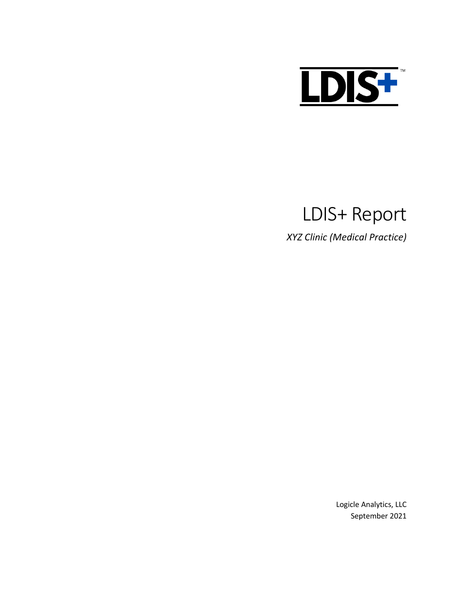

# LDIS+ Report

*XYZ Clinic (Medical Practice)*

Logicle Analytics, LLC September 2021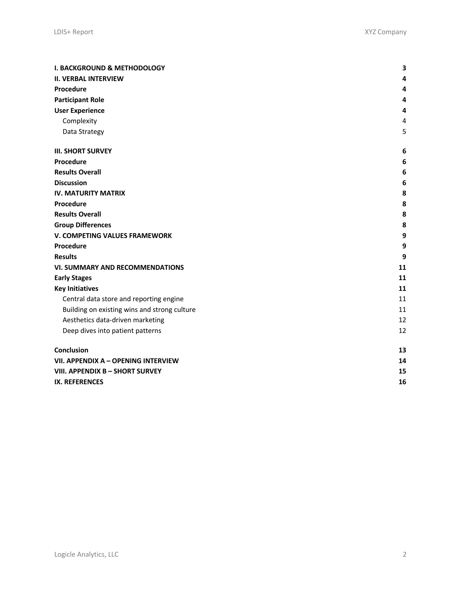| <b>I. BACKGROUND &amp; METHODOLOGY</b>       |    |  |  |  |  |  |
|----------------------------------------------|----|--|--|--|--|--|
| <b>II. VERBAL INTERVIEW</b>                  | 4  |  |  |  |  |  |
| Procedure                                    | 4  |  |  |  |  |  |
| <b>Participant Role</b>                      | 4  |  |  |  |  |  |
| <b>User Experience</b>                       | 4  |  |  |  |  |  |
| Complexity                                   | 4  |  |  |  |  |  |
| Data Strategy                                | 5  |  |  |  |  |  |
| <b>III. SHORT SURVEY</b>                     | 6  |  |  |  |  |  |
| Procedure                                    | 6  |  |  |  |  |  |
| <b>Results Overall</b>                       | 6  |  |  |  |  |  |
| <b>Discussion</b>                            | 6  |  |  |  |  |  |
| <b>IV. MATURITY MATRIX</b>                   | 8  |  |  |  |  |  |
| Procedure                                    | 8  |  |  |  |  |  |
| <b>Results Overall</b>                       | 8  |  |  |  |  |  |
| <b>Group Differences</b>                     | 8  |  |  |  |  |  |
| V. COMPETING VALUES FRAMEWORK                | 9  |  |  |  |  |  |
| Procedure                                    | 9  |  |  |  |  |  |
| <b>Results</b>                               | 9  |  |  |  |  |  |
| <b>VI. SUMMARY AND RECOMMENDATIONS</b>       | 11 |  |  |  |  |  |
| <b>Early Stages</b>                          | 11 |  |  |  |  |  |
| <b>Key Initiatives</b>                       | 11 |  |  |  |  |  |
| Central data store and reporting engine      | 11 |  |  |  |  |  |
| Building on existing wins and strong culture | 11 |  |  |  |  |  |
| Aesthetics data-driven marketing             | 12 |  |  |  |  |  |
| Deep dives into patient patterns             | 12 |  |  |  |  |  |
| Conclusion                                   | 13 |  |  |  |  |  |
| VII. APPENDIX A - OPENING INTERVIEW          |    |  |  |  |  |  |
| VIII. APPENDIX B - SHORT SURVEY              | 15 |  |  |  |  |  |
| <b>IX. REFERENCES</b>                        | 16 |  |  |  |  |  |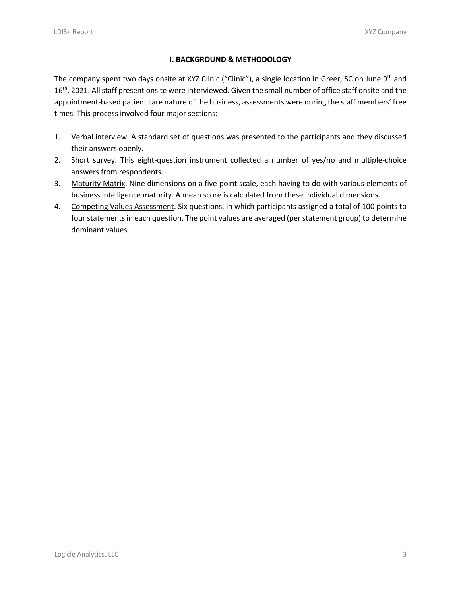## **I. BACKGROUND & METHODOLOGY**

The company spent two days onsite at XYZ Clinic ("Clinic"), a single location in Greer, SC on June 9<sup>th</sup> and 16<sup>th</sup>, 2021. All staff present onsite were interviewed. Given the small number of office staff onsite and the appointment-based patient care nature of the business, assessments were during the staff members' free times. This process involved four major sections:

- 1. Verbal interview. A standard set of questions was presented to the participants and they discussed their answers openly.
- 2. Short survey. This eight-question instrument collected a number of yes/no and multiple-choice answers from respondents.
- 3. Maturity Matrix. Nine dimensions on a five-point scale, each having to do with various elements of business intelligence maturity. A mean score is calculated from these individual dimensions.
- 4. Competing Values Assessment. Six questions, in which participants assigned a total of 100 points to four statements in each question. The point values are averaged (per statement group) to determine dominant values.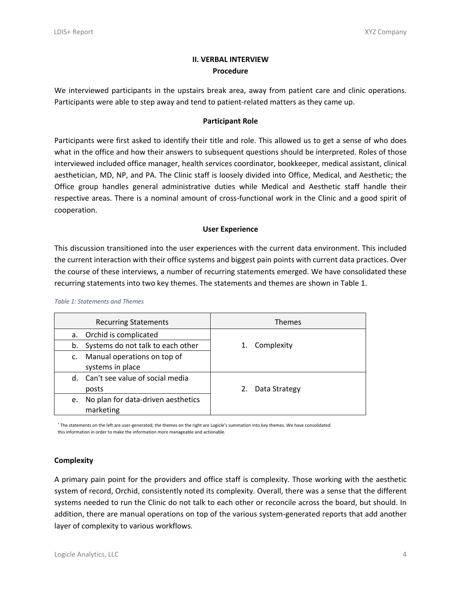## **II. VERBAL INTERVIEW Procedure**

We interviewed participants in the upstairs break area, away from patient care and clinic operations. Participants were able to step away and tend to patient-related matters as they came up.

## **Participant Role**

Participants were first asked to identify their title and role. This allowed us to get a sense of who does what in the office and how their answers to subsequent questions should be interpreted. Roles of those interviewed included office manager, health services coordinator, bookkeeper, medical assistant, clinical aesthetician, MD, NP, and PA. The Clinic staff is loosely divided into Office, Medical, and Aesthetic; the Office group handles general administrative duties while Medical and Aesthetic staff handle their respective areas. There is a nominal amount of cross-functional work in the Clinic and a good spirit of cooperation.

## **User Experience**

This discussion transitioned into the user experiences with the current data environment. This included the current interaction with their office systems and biggest pain points with current data practices. Over the course of these interviews, a number of recurring statements emerged. We have consolidated these recurring statements into two key themes. The statements and themes are shown in Table 1.

#### *Table 1: Statements and Themes*

|    | <b>Recurring Statements</b>        |    | <b>Themes</b> |
|----|------------------------------------|----|---------------|
| a. | Orchid is complicated              |    |               |
| b. | Systems do not talk to each other  | 1. | Complexity    |
| c. | Manual operations on top of        |    |               |
|    | systems in place                   |    |               |
|    | d. Can't see value of social media |    |               |
|    | posts                              | 2. | Data Strategy |
| e. | No plan for data-driven aesthetics |    |               |
|    | marketing                          |    |               |

\* The statements on the left are user-generated; the themes on the right are Logicle's summation into key themes. We have consolidated this information in order to make the information more manageable and actionable.

## **Complexity**

A primary pain point for the providers and office staff is complexity. Those working with the aesthetic system of record, Orchid, consistently noted its complexity. Overall, there was a sense that the different systems needed to run the Clinic do not talk to each other or reconcile across the board, but should. In addition, there are manual operations on top of the various system-generated reports that add another layer of complexity to various workflows.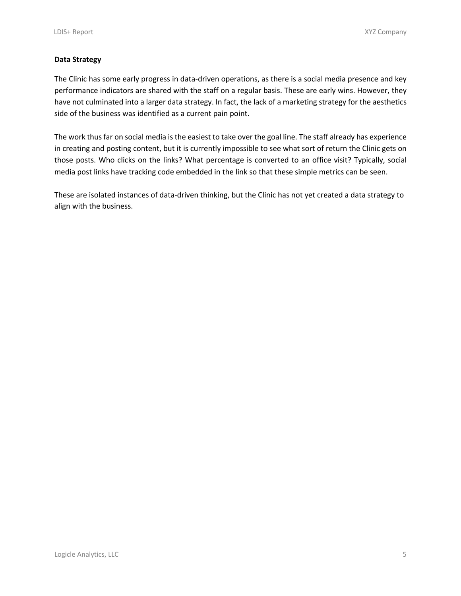## **Data Strategy**

The Clinic has some early progress in data-driven operations, as there is a social media presence and key performance indicators are shared with the staff on a regular basis. These are early wins. However, they have not culminated into a larger data strategy. In fact, the lack of a marketing strategy for the aesthetics side of the business was identified as a current pain point.

The work thus far on social media is the easiest to take over the goal line. The staff already has experience in creating and posting content, but it is currently impossible to see what sort of return the Clinic gets on those posts. Who clicks on the links? What percentage is converted to an office visit? Typically, social media post links have tracking code embedded in the link so that these simple metrics can be seen.

These are isolated instances of data-driven thinking, but the Clinic has not yet created a data strategy to align with the business.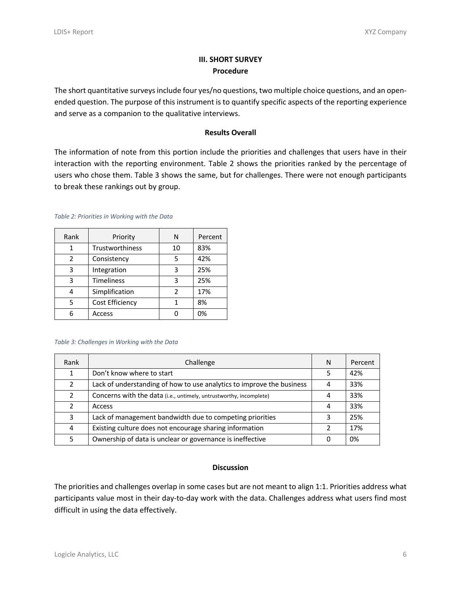## **III. SHORT SURVEY Procedure**

The short quantitative surveys include four yes/no questions, two multiple choice questions, and an openended question. The purpose of this instrument is to quantify specific aspects of the reporting experience and serve as a companion to the qualitative interviews.

## **Results Overall**

The information of note from this portion include the priorities and challenges that users have in their interaction with the reporting environment. Table 2 shows the priorities ranked by the percentage of users who chose them. Table 3 shows the same, but for challenges. There were not enough participants to break these rankings out by group.

|  | Table 2: Priorities in Working with the Data |  |  |  |  |  |
|--|----------------------------------------------|--|--|--|--|--|
|--|----------------------------------------------|--|--|--|--|--|

| Rank          | Priority          | N              | Percent |
|---------------|-------------------|----------------|---------|
|               | Trustworthiness   | 10             | 83%     |
| $\mathcal{P}$ | Consistency       | 5              | 42%     |
| 3             | Integration       | 3              | 25%     |
| з             | <b>Timeliness</b> | 3              | 25%     |
| Δ             | Simplification    | $\mathfrak{p}$ | 17%     |
| 5             | Cost Efficiency   |                | 8%      |
| հ             | Access            |                | 0%      |

#### *Table 3: Challenges in Working with the Data*

| Rank          | Challenge                                                             | N | Percent |
|---------------|-----------------------------------------------------------------------|---|---------|
|               | Don't know where to start                                             |   | 42%     |
| $\mathcal{P}$ | Lack of understanding of how to use analytics to improve the business |   | 33%     |
| $\mathcal{P}$ | Concerns with the data (i.e., untimely, untrustworthy, incomplete)    | 4 | 33%     |
| 2             | <b>Access</b>                                                         | 4 | 33%     |
| 3             | Lack of management bandwidth due to competing priorities              |   | 25%     |
| 4             | Existing culture does not encourage sharing information               |   | 17%     |
| 5.            | Ownership of data is unclear or governance is ineffective             | 0 | 0%      |

## **Discussion**

The priorities and challenges overlap in some cases but are not meant to align 1:1. Priorities address what participants value most in their day-to-day work with the data. Challenges address what users find most difficult in using the data effectively.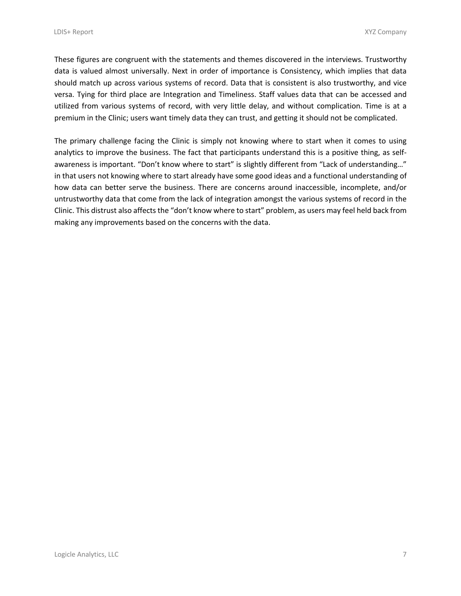These figures are congruent with the statements and themes discovered in the interviews. Trustworthy data is valued almost universally. Next in order of importance is Consistency, which implies that data should match up across various systems of record. Data that is consistent is also trustworthy, and vice versa. Tying for third place are Integration and Timeliness. Staff values data that can be accessed and utilized from various systems of record, with very little delay, and without complication. Time is at a premium in the Clinic; users want timely data they can trust, and getting it should not be complicated.

The primary challenge facing the Clinic is simply not knowing where to start when it comes to using analytics to improve the business. The fact that participants understand this is a positive thing, as selfawareness is important. "Don't know where to start" is slightly different from "Lack of understanding…" in that users not knowing where to start already have some good ideas and a functional understanding of how data can better serve the business. There are concerns around inaccessible, incomplete, and/or untrustworthy data that come from the lack of integration amongst the various systems of record in the Clinic. This distrust also affects the "don't know where to start" problem, as users may feel held back from making any improvements based on the concerns with the data.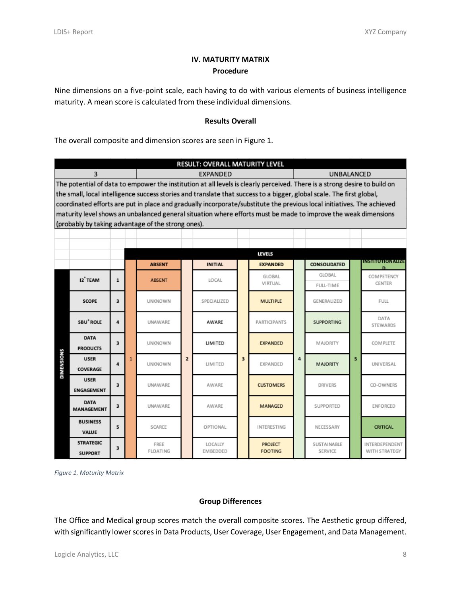# **IV. MATURITY MATRIX Procedure**

Nine dimensions on a five-point scale, each having to do with various elements of business intelligence maturity. A mean score is calculated from these individual dimensions.

## **Results Overall**

The overall composite and dimension scores are seen in Figure 1.

| RESULT: OVERALL MATURITY LEVEL                                                                                            |                                                                                                                       |                         |              |                                                                                                                        |                |                                   |   |                           |   |                        |   |                                 |
|---------------------------------------------------------------------------------------------------------------------------|-----------------------------------------------------------------------------------------------------------------------|-------------------------|--------------|------------------------------------------------------------------------------------------------------------------------|----------------|-----------------------------------|---|---------------------------|---|------------------------|---|---------------------------------|
|                                                                                                                           | <b>EXPANDED</b><br>UNBALANCED<br>3                                                                                    |                         |              |                                                                                                                        |                |                                   |   |                           |   |                        |   |                                 |
| The potential of data to empower the institution at all levels is clearly perceived. There is a strong desire to build on |                                                                                                                       |                         |              |                                                                                                                        |                |                                   |   |                           |   |                        |   |                                 |
|                                                                                                                           | the small, local intelligence success stories and translate that success to a bigger, global scale. The first global, |                         |              |                                                                                                                        |                |                                   |   |                           |   |                        |   |                                 |
|                                                                                                                           |                                                                                                                       |                         |              | coordinated efforts are put in place and gradually incorporate/substitute the previous local initiatives. The achieved |                |                                   |   |                           |   |                        |   |                                 |
|                                                                                                                           | maturity level shows an unbalanced general situation where efforts must be made to improve the weak dimensions        |                         |              |                                                                                                                        |                |                                   |   |                           |   |                        |   |                                 |
|                                                                                                                           | (probably by taking advantage of the strong ones).                                                                    |                         |              |                                                                                                                        |                |                                   |   |                           |   |                        |   |                                 |
|                                                                                                                           |                                                                                                                       |                         |              |                                                                                                                        |                |                                   |   |                           |   |                        |   |                                 |
|                                                                                                                           |                                                                                                                       |                         |              |                                                                                                                        |                |                                   |   | <b>LEVELS</b>             |   |                        |   |                                 |
|                                                                                                                           |                                                                                                                       |                         |              | <b>ABSENT</b>                                                                                                          |                | <b>INITIAL</b>                    |   | <b>EXPANDED</b>           |   | CONSOLIDATED           |   | <b>INSTITUTIONALIZE</b>         |
|                                                                                                                           |                                                                                                                       |                         |              |                                                                                                                        |                |                                   |   | <b>GLOBAL</b>             |   | GLOBAL                 |   | COMPETENCY                      |
|                                                                                                                           | 12 TEAM                                                                                                               | $\mathbf{1}$            |              | <b>ABSENT</b>                                                                                                          |                | LOCAL                             |   | VIRTUAL                   |   | FULL-TIME              |   | CENTER                          |
|                                                                                                                           | <b>SCOPE</b>                                                                                                          | 3                       |              | <b>UNKNOWN</b>                                                                                                         |                | SPECIALIZED                       |   | <b>MULTIPLE</b>           |   | GENERALIZED            | 5 | <b>FULL</b>                     |
|                                                                                                                           | SBU <sup>+</sup> ROLE                                                                                                 | 4                       |              | UNAWARE                                                                                                                |                | AWARE                             |   | <b>PARTICIPANTS</b>       |   | <b>SUPPORTING</b>      |   | DATA<br>STEWARDS                |
|                                                                                                                           | <b>DATA</b><br><b>PRODUCTS</b>                                                                                        | $\overline{\mathbf{3}}$ |              | <b>UNKNOWN</b>                                                                                                         | $\overline{2}$ | LIMITED                           |   | <b>EXPANDED</b>           |   | MAJORITY               |   | COMPLETE                        |
| DIMENSIONS                                                                                                                | <b>USER</b><br>COVERAGE                                                                                               | 4                       | $\mathbf{1}$ | <b>UNKNOWN</b>                                                                                                         |                | LIMITED                           | 3 | EXPANDED                  | 4 | MAJORITY               |   | UNIVERSAL                       |
|                                                                                                                           | <b>USER</b><br><b>ENGAGEMENT</b>                                                                                      | $\overline{\mathbf{a}}$ |              | <b>UNAWARE</b>                                                                                                         |                | AWARE                             |   | <b>CUSTOMERS</b>          |   | <b>DRIVERS</b>         |   | CO-OWNERS                       |
|                                                                                                                           | <b>DATA</b><br><b>MANAGEMENT</b>                                                                                      | $\overline{\mathbf{3}}$ |              | UNAWARE                                                                                                                |                | AWARE                             |   | MANAGED                   |   | <b>SUPPORTED</b>       |   | <b>ENFORCED</b>                 |
|                                                                                                                           | <b>BUSINESS</b><br>VALUE                                                                                              | 5                       |              | SCARCE                                                                                                                 |                | OPTIONAL                          |   | <b>INTERESTING</b>        |   | NECESSARY              |   | <b>CRITICAL</b>                 |
|                                                                                                                           | <b>STRATEGIC</b><br><b>SUPPORT</b>                                                                                    | 3                       |              | FREE<br>FLOATING                                                                                                       |                | <b>LOCALLY</b><br><b>EMBEDDED</b> |   | PROJECT<br><b>FOOTING</b> |   | SUSTAINABLE<br>SERVICE |   | INTERDEPENDENT<br>WITH STRATEGY |

*Figure 1. Maturity Matrix*

## **Group Differences**

The Office and Medical group scores match the overall composite scores. The Aesthetic group differed, with significantly lower scores in Data Products, User Coverage, User Engagement, and Data Management.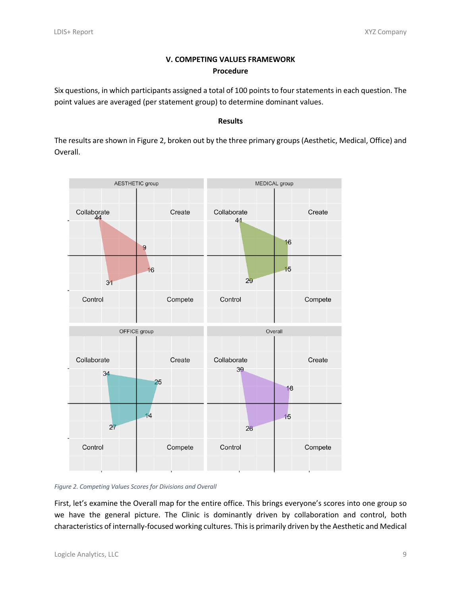# **V. COMPETING VALUES FRAMEWORK Procedure**

Six questions, in which participants assigned a total of 100 points to four statements in each question. The point values are averaged (per statement group) to determine dominant values.

## **Results**

The results are shown in Figure 2, broken out by the three primary groups (Aesthetic, Medical, Office) and Overall.



*Figure 2. Competing Values Scores for Divisions and Overall*

First, let's examine the Overall map for the entire office. This brings everyone's scores into one group so we have the general picture. The Clinic is dominantly driven by collaboration and control, both characteristics of internally-focused working cultures. This is primarily driven by the Aesthetic and Medical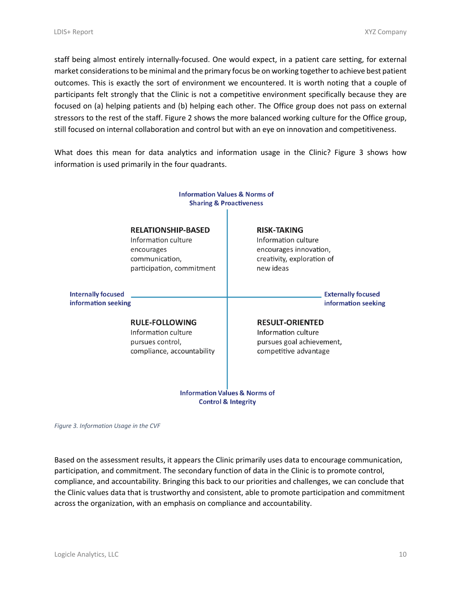staff being almost entirely internally-focused. One would expect, in a patient care setting, for external market considerationsto be minimal and the primary focus be on working together to achieve best patient outcomes. This is exactly the sort of environment we encountered. It is worth noting that a couple of participants felt strongly that the Clinic is not a competitive environment specifically because they are focused on (a) helping patients and (b) helping each other. The Office group does not pass on external stressors to the rest of the staff. Figure 2 shows the more balanced working culture for the Office group, still focused on internal collaboration and control but with an eye on innovation and competitiveness.

What does this mean for data analytics and information usage in the Clinic? Figure 3 shows how information is used primarily in the four quadrants.



**Control & Integrity** 

*Figure 3. Information Usage in the CVF*

Based on the assessment results, it appears the Clinic primarily uses data to encourage communication, participation, and commitment. The secondary function of data in the Clinic is to promote control, compliance, and accountability. Bringing this back to our priorities and challenges, we can conclude that the Clinic values data that is trustworthy and consistent, able to promote participation and commitment across the organization, with an emphasis on compliance and accountability.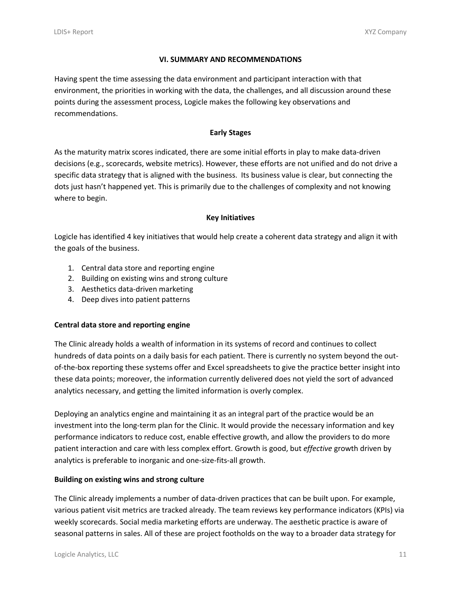## **VI. SUMMARY AND RECOMMENDATIONS**

Having spent the time assessing the data environment and participant interaction with that environment, the priorities in working with the data, the challenges, and all discussion around these points during the assessment process, Logicle makes the following key observations and recommendations.

## **Early Stages**

As the maturity matrix scores indicated, there are some initial efforts in play to make data-driven decisions (e.g., scorecards, website metrics). However, these efforts are not unified and do not drive a specific data strategy that is aligned with the business. Its business value is clear, but connecting the dots just hasn't happened yet. This is primarily due to the challenges of complexity and not knowing where to begin.

## **Key Initiatives**

Logicle has identified 4 key initiatives that would help create a coherent data strategy and align it with the goals of the business.

- 1. Central data store and reporting engine
- 2. Building on existing wins and strong culture
- 3. Aesthetics data-driven marketing
- 4. Deep dives into patient patterns

## **Central data store and reporting engine**

The Clinic already holds a wealth of information in its systems of record and continues to collect hundreds of data points on a daily basis for each patient. There is currently no system beyond the outof-the-box reporting these systems offer and Excel spreadsheets to give the practice better insight into these data points; moreover, the information currently delivered does not yield the sort of advanced analytics necessary, and getting the limited information is overly complex.

Deploying an analytics engine and maintaining it as an integral part of the practice would be an investment into the long-term plan for the Clinic. It would provide the necessary information and key performance indicators to reduce cost, enable effective growth, and allow the providers to do more patient interaction and care with less complex effort. Growth is good, but *effective* growth driven by analytics is preferable to inorganic and one-size-fits-all growth.

## **Building on existing wins and strong culture**

The Clinic already implements a number of data-driven practices that can be built upon. For example, various patient visit metrics are tracked already. The team reviews key performance indicators (KPIs) via weekly scorecards. Social media marketing efforts are underway. The aesthetic practice is aware of seasonal patterns in sales. All of these are project footholds on the way to a broader data strategy for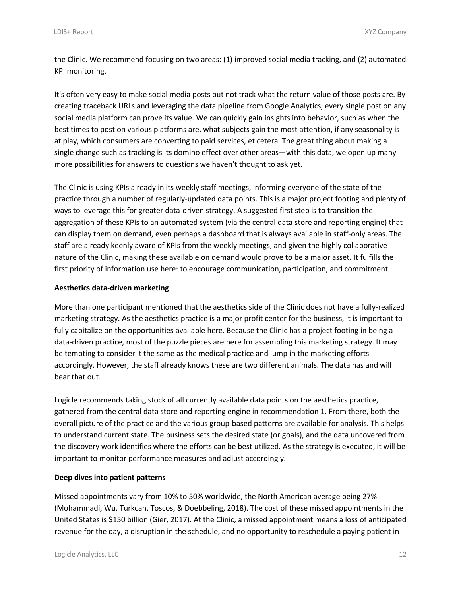the Clinic. We recommend focusing on two areas: (1) improved social media tracking, and (2) automated KPI monitoring.

It's often very easy to make social media posts but not track what the return value of those posts are. By creating traceback URLs and leveraging the data pipeline from Google Analytics, every single post on any social media platform can prove its value. We can quickly gain insights into behavior, such as when the best times to post on various platforms are, what subjects gain the most attention, if any seasonality is at play, which consumers are converting to paid services, et cetera. The great thing about making a single change such as tracking is its domino effect over other areas—with this data, we open up many more possibilities for answers to questions we haven't thought to ask yet.

The Clinic is using KPIs already in its weekly staff meetings, informing everyone of the state of the practice through a number of regularly-updated data points. This is a major project footing and plenty of ways to leverage this for greater data-driven strategy. A suggested first step is to transition the aggregation of these KPIs to an automated system (via the central data store and reporting engine) that can display them on demand, even perhaps a dashboard that is always available in staff-only areas. The staff are already keenly aware of KPIs from the weekly meetings, and given the highly collaborative nature of the Clinic, making these available on demand would prove to be a major asset. It fulfills the first priority of information use here: to encourage communication, participation, and commitment.

## **Aesthetics data-driven marketing**

More than one participant mentioned that the aesthetics side of the Clinic does not have a fully-realized marketing strategy. As the aesthetics practice is a major profit center for the business, it is important to fully capitalize on the opportunities available here. Because the Clinic has a project footing in being a data-driven practice, most of the puzzle pieces are here for assembling this marketing strategy. It may be tempting to consider it the same as the medical practice and lump in the marketing efforts accordingly. However, the staff already knows these are two different animals. The data has and will bear that out.

Logicle recommends taking stock of all currently available data points on the aesthetics practice, gathered from the central data store and reporting engine in recommendation 1. From there, both the overall picture of the practice and the various group-based patterns are available for analysis. This helps to understand current state. The business sets the desired state (or goals), and the data uncovered from the discovery work identifies where the efforts can be best utilized. As the strategy is executed, it will be important to monitor performance measures and adjust accordingly.

#### **Deep dives into patient patterns**

Missed appointments vary from 10% to 50% worldwide, the North American average being 27% (Mohammadi, Wu, Turkcan, Toscos, & Doebbeling, 2018). The cost of these missed appointments in the United States is \$150 billion (Gier, 2017). At the Clinic, a missed appointment means a loss of anticipated revenue for the day, a disruption in the schedule, and no opportunity to reschedule a paying patient in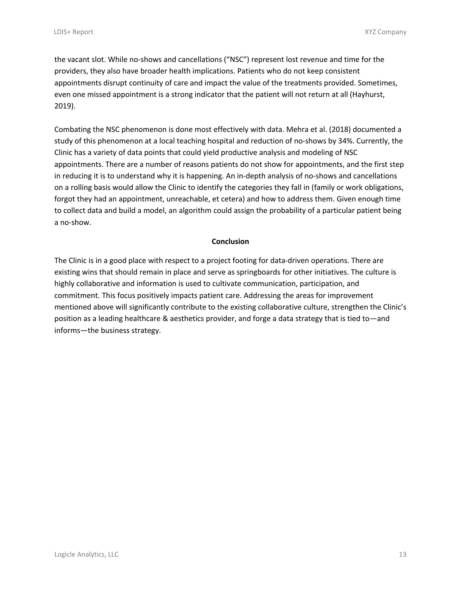the vacant slot. While no-shows and cancellations ("NSC") represent lost revenue and time for the providers, they also have broader health implications. Patients who do not keep consistent appointments disrupt continuity of care and impact the value of the treatments provided. Sometimes, even one missed appointment is a strong indicator that the patient will not return at all (Hayhurst, 2019).

Combating the NSC phenomenon is done most effectively with data. Mehra et al. (2018) documented a study of this phenomenon at a local teaching hospital and reduction of no-shows by 34%. Currently, the Clinic has a variety of data points that could yield productive analysis and modeling of NSC appointments. There are a number of reasons patients do not show for appointments, and the first step in reducing it is to understand why it is happening. An in-depth analysis of no-shows and cancellations on a rolling basis would allow the Clinic to identify the categories they fall in (family or work obligations, forgot they had an appointment, unreachable, et cetera) and how to address them. Given enough time to collect data and build a model, an algorithm could assign the probability of a particular patient being a no-show.

## **Conclusion**

The Clinic is in a good place with respect to a project footing for data-driven operations. There are existing wins that should remain in place and serve as springboards for other initiatives. The culture is highly collaborative and information is used to cultivate communication, participation, and commitment. This focus positively impacts patient care. Addressing the areas for improvement mentioned above will significantly contribute to the existing collaborative culture, strengthen the Clinic's position as a leading healthcare & aesthetics provider, and forge a data strategy that is tied to—and informs—the business strategy.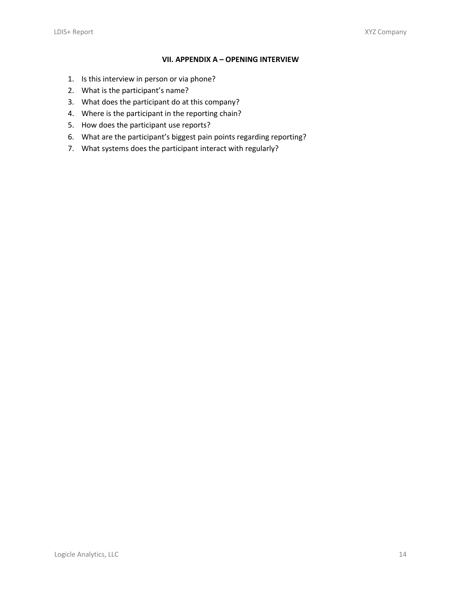## **VII. APPENDIX A – OPENING INTERVIEW**

- 1. Is this interview in person or via phone?
- 2. What is the participant's name?
- 3. What does the participant do at this company?
- 4. Where is the participant in the reporting chain?
- 5. How does the participant use reports?
- 6. What are the participant's biggest pain points regarding reporting?
- 7. What systems does the participant interact with regularly?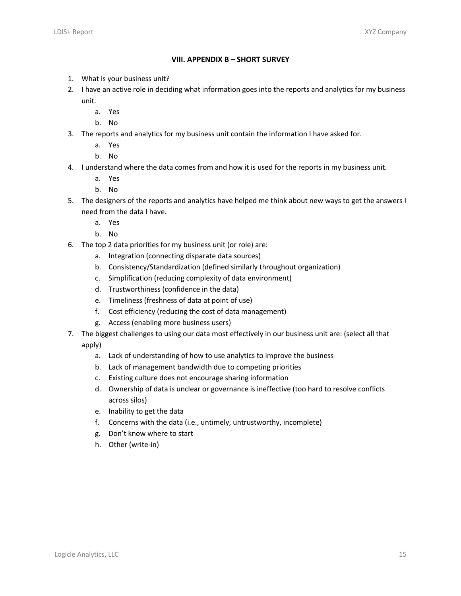## **VIII. APPENDIX B – SHORT SURVEY**

- 1. What is your business unit?
- 2. I have an active role in deciding what information goes into the reports and analytics for my business unit.
	- a. Yes
	- b. No
- 3. The reports and analytics for my business unit contain the information I have asked for.
	- a. Yes
	- b. No
- 4. I understand where the data comes from and how it is used for the reports in my business unit.
	- a. Yes
	- b. No
- 5. The designers of the reports and analytics have helped me think about new ways to get the answers I need from the data I have.
	- a. Yes
	- b. No
- 6. The top 2 data priorities for my business unit (or role) are:
	- a. Integration (connecting disparate data sources)
	- b. Consistency/Standardization (defined similarly throughout organization)
	- c. Simplification (reducing complexity of data environment)
	- d. Trustworthiness (confidence in the data)
	- e. Timeliness (freshness of data at point of use)
	- f. Cost efficiency (reducing the cost of data management)
	- g. Access (enabling more business users)
- 7. The biggest challenges to using our data most effectively in our business unit are: (select all that apply)
	- a. Lack of understanding of how to use analytics to improve the business
	- b. Lack of management bandwidth due to competing priorities
	- c. Existing culture does not encourage sharing information
	- d. Ownership of data is unclear or governance is ineffective (too hard to resolve conflicts across silos)
	- e. Inability to get the data
	- f. Concerns with the data (i.e., untimely, untrustworthy, incomplete)
	- g. Don't know where to start
	- h. Other (write-in)